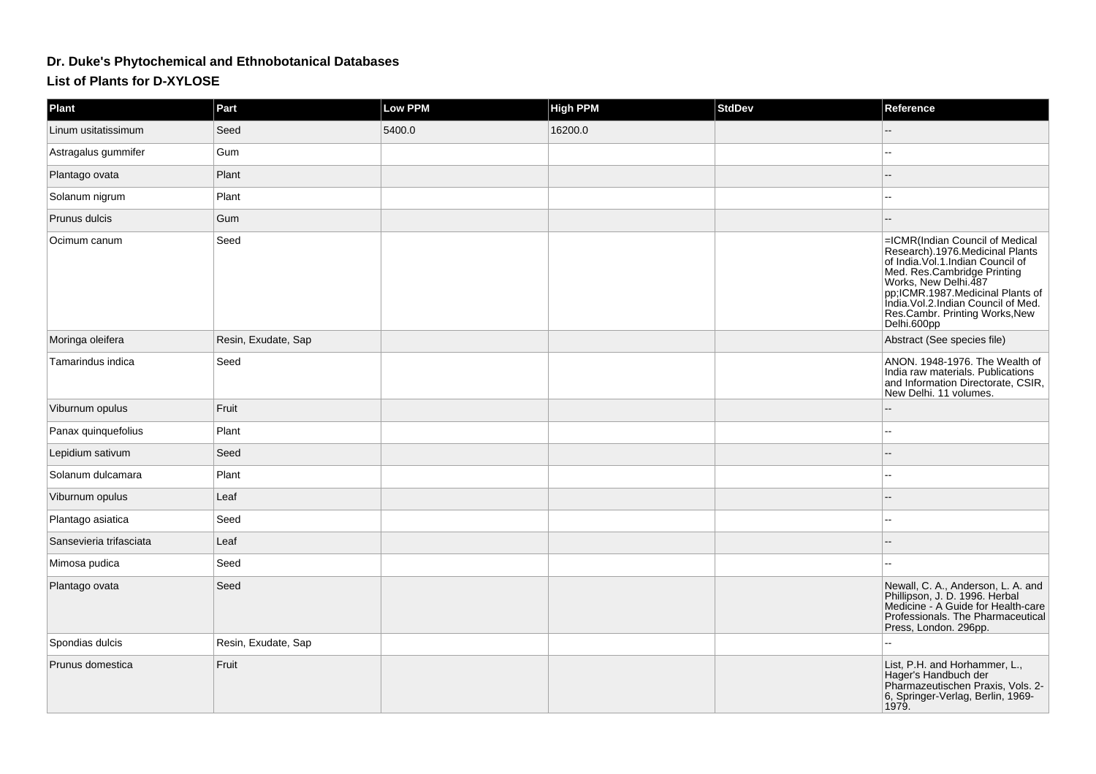## **Dr. Duke's Phytochemical and Ethnobotanical Databases**

## **List of Plants for D-XYLOSE**

| <b>Plant</b>            | Part                | Low PPM | <b>High PPM</b> | <b>StdDev</b> | Reference                                                                                                                                                                                                                                                                                   |
|-------------------------|---------------------|---------|-----------------|---------------|---------------------------------------------------------------------------------------------------------------------------------------------------------------------------------------------------------------------------------------------------------------------------------------------|
| Linum usitatissimum     | Seed                | 5400.0  | 16200.0         |               |                                                                                                                                                                                                                                                                                             |
| Astragalus gummifer     | Gum                 |         |                 |               |                                                                                                                                                                                                                                                                                             |
| Plantago ovata          | Plant               |         |                 |               |                                                                                                                                                                                                                                                                                             |
| Solanum nigrum          | Plant               |         |                 |               |                                                                                                                                                                                                                                                                                             |
| Prunus dulcis           | Gum                 |         |                 |               |                                                                                                                                                                                                                                                                                             |
| Ocimum canum            | Seed                |         |                 |               | =ICMR(Indian Council of Medical<br>Research).1976.Medicinal Plants<br>of India. Vol.1.Indian Council of<br>Med. Res.Cambridge Printing<br>Works, New Delhi.487<br>pp;ICMR.1987.Medicinal Plants of<br>India. Vol.2. Indian Council of Med.<br>Res.Cambr. Printing Works, New<br>Delhi.600pp |
| Moringa oleifera        | Resin, Exudate, Sap |         |                 |               | Abstract (See species file)                                                                                                                                                                                                                                                                 |
| Tamarindus indica       | Seed                |         |                 |               | ANON. 1948-1976. The Wealth of<br>India raw materials. Publications<br>and Information Directorate, CSIR,<br>New Delhi. 11 volumes.                                                                                                                                                         |
| Viburnum opulus         | Fruit               |         |                 |               |                                                                                                                                                                                                                                                                                             |
| Panax quinquefolius     | Plant               |         |                 |               |                                                                                                                                                                                                                                                                                             |
| Lepidium sativum        | Seed                |         |                 |               |                                                                                                                                                                                                                                                                                             |
| Solanum dulcamara       | Plant               |         |                 |               |                                                                                                                                                                                                                                                                                             |
| Viburnum opulus         | Leaf                |         |                 |               |                                                                                                                                                                                                                                                                                             |
| Plantago asiatica       | Seed                |         |                 |               |                                                                                                                                                                                                                                                                                             |
| Sansevieria trifasciata | Leaf                |         |                 |               |                                                                                                                                                                                                                                                                                             |
| Mimosa pudica           | Seed                |         |                 |               |                                                                                                                                                                                                                                                                                             |
| Plantago ovata          | Seed                |         |                 |               | Newall, C. A., Anderson, L. A. and<br>Phillipson, J. D. 1996. Herbal<br>Medicine - A Guide for Health-care<br>Professionals. The Pharmaceutical<br>Press, London. 296pp.                                                                                                                    |
| Spondias dulcis         | Resin, Exudate, Sap |         |                 |               | ÷.                                                                                                                                                                                                                                                                                          |
| Prunus domestica        | Fruit               |         |                 |               | List, P.H. and Horhammer, L.,<br>Hager's Handbuch der<br>Pharmazeutischen Praxis, Vols. 2-<br>6, Springer-Verlag, Berlin, 1969-<br>1979.                                                                                                                                                    |